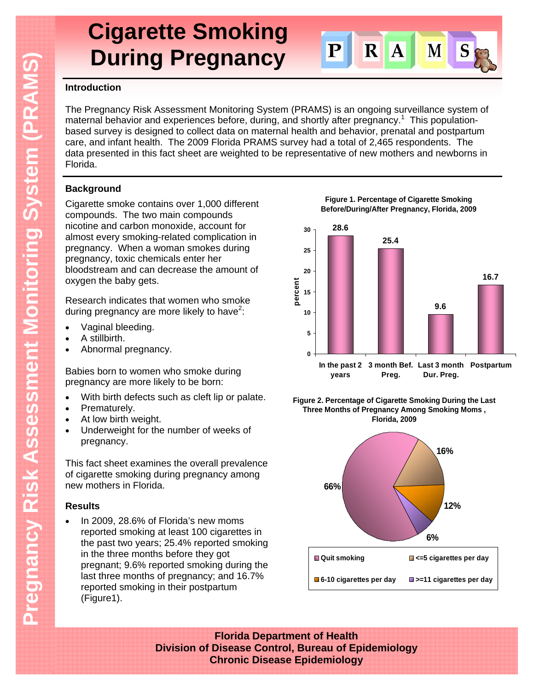# **Cigarette Smoking During Pregnancy**



#### **Introduction**

The Pregnancy Risk Assessment Monitoring System (PRAMS) is an ongoing surveillance system of maternal behavior and experiences before, during, and shortly after pregnancy.<sup>1</sup> This populationbased survey is designed to collect data on maternal health and behavior, prenatal and postpartum care, and infant health. The 2009 Florida PRAMS survey had a total of 2,465 respondents. The data presented in this fact sheet are weighted to be representative of new mothers and newborns in Florida.

### **Background**

Cigarette smoke contains over 1,000 different compounds. The two main compounds nicotine and carbon monoxide, account for almost every smoking-related complication in pregnancy. When a woman smokes during pregnancy, toxic chemicals enter her bloodstream and can decrease the amount of oxygen the baby gets.

Research indicates that women who smoke during pregnancy are more likely to have<sup>2</sup>:

- Vaginal bleeding.
- A stillbirth.
- Abnormal pregnancy.

Babies born to women who smoke during pregnancy are more likely to be born:

- With birth defects such as cleft lip or palate.
- Prematurely.
- At low birth weight.
- Underweight for the number of weeks of pregnancy.

This fact sheet examines the overall prevalence of cigarette smoking during pregnancy among new mothers in Florida.

#### **Results**

 In 2009, 28.6% of Florida's new moms reported smoking at least 100 cigarettes in the past two years; 25.4% reported smoking in the three months before they got pregnant; 9.6% reported smoking during the last three months of pregnancy; and 16.7% reported smoking in their postpartum (Figure1).

**Figure 1. Percentage of Cigarette Smoking Before/During/After Pregnancy, Florida, 2009**







**Florida Department of Health Division of Disease Control, Bureau of Epidemiology Chronic Disease Epidemiology**